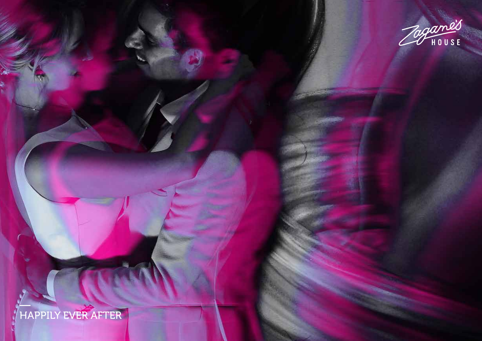

# —<br>HAPPILY EVER AFTER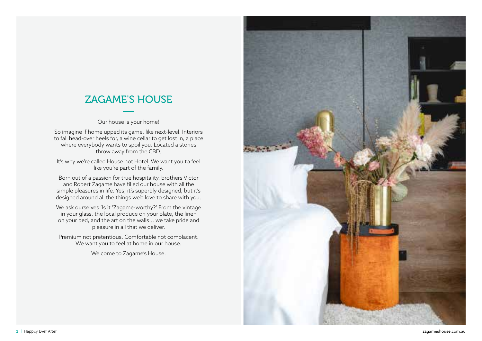### ZAGAME'S HOUSE

Our house is your home!

So imagine if home upped its game, like next-level. Interiors to fall head-over heels for, a wine cellar to get lost in, a place where everybody wants to spoil you. Located a stones throw away from the CBD.

It's why we're called House not Hotel. We want you to feel like you're part of the family.

Born out of a passion for true hospitality, brothers Victor and Robert Zagame have filled our house with all the simple pleasures in life. Yes, it's superbly designed, but it's designed around all the things we'd love to share with you.

We ask ourselves 'Is it 'Zagame-worthy?' From the vintage in your glass, the local produce on your plate, the linen on your bed, and the art on the walls... we take pride and pleasure in all that we deliver.

Premium not pretentious. Comfortable not complacent. We want you to feel at home in our house.

Welcome to Zagame's House.

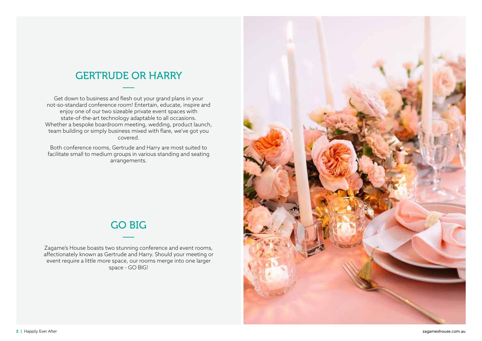## GERTRUDE OR HARRY

Get down to business and flesh out your grand plans in your not-so-standard conference room! Entertain, educate, inspire and enjoy one of our two sizeable private event spaces with state-of-the-art technology adaptable to all occasions. Whether a bespoke boardroom meeting, wedding, product launch, team building or simply business mixed with flare, we've got you covered.

Both conference rooms, Gertrude and Harry are most suited to facilitate small to medium groups in various standing and seating arrangements.

### GO BIG

Zagame's House boasts two stunning conference and event rooms, affectionately known as Gertrude and Harry. Should your meeting or event require a little more space, our rooms merge into one larger space - GO BIG!

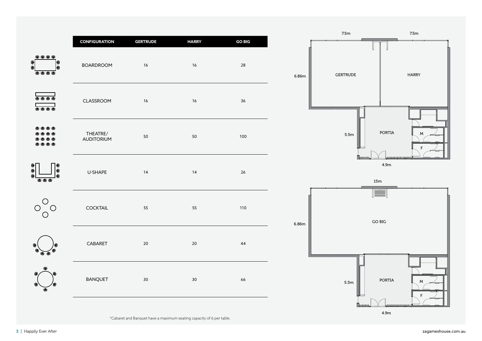|                                                                                                                                                                                                                                                                                                                                                     |                                          |                       |                    |                     |                | 7.5m                  | 7.5m                       |
|-----------------------------------------------------------------------------------------------------------------------------------------------------------------------------------------------------------------------------------------------------------------------------------------------------------------------------------------------------|------------------------------------------|-----------------------|--------------------|---------------------|----------------|-----------------------|----------------------------|
| $\begin{picture}(20,20) \put(0,0){\line(1,0){10}} \put(15,0){\line(1,0){10}} \put(15,0){\line(1,0){10}} \put(15,0){\line(1,0){10}} \put(15,0){\line(1,0){10}} \put(15,0){\line(1,0){10}} \put(15,0){\line(1,0){10}} \put(15,0){\line(1,0){10}} \put(15,0){\line(1,0){10}} \put(15,0){\line(1,0){10}} \put(15,0){\line(1,0){10}} \put(15,0){\line(1$ | <b>CONFIGURATION</b><br><b>BOARDROOM</b> | <b>GERTRUDE</b><br>16 | <b>HARRY</b><br>16 | <b>GO BIG</b><br>28 | 6.86m          | <b>GERTRUDE</b>       | <b>HARRY</b>               |
| <b>.</b><br><b></b>                                                                                                                                                                                                                                                                                                                                 | CLASSROOM                                | 16                    | 16                 | 36                  |                |                       |                            |
| ن ن<br>$\bullet$ $\bullet$<br>$\begin{array}{c} \bullet\hspace{-.25cm}\bullet\hspace{-.25cm}\bullet\hspace{-.25cm}\bullet \end{array}$                                                                                                                                                                                                              | THEATRE/<br><b>AUDITORIUM</b>            | 50                    | 50                 | 100                 |                | 5.5m                  | PORTIA<br>M<br>$\mathsf F$ |
| ❶<br>$\bullet$<br>$\begin{array}{c} \bullet\bullet\bullet\end{array}$                                                                                                                                                                                                                                                                               | U-SHAPE                                  | 14                    | 14                 | 26                  | $\sim 10^{-1}$ | <b>Tannana</b><br>15m | 0880880088088081<br>4.9m   |
| $O_{O}^{\bigcirc}$<br>$\bigcirc$                                                                                                                                                                                                                                                                                                                    | <b>COCKTAIL</b>                          | 55                    | 55                 | 110                 | 6.86m          | E                     | $GO$ $BIG$                 |
|                                                                                                                                                                                                                                                                                                                                                     | CABARET                                  | 20                    | $20$               | 44                  |                |                       |                            |
|                                                                                                                                                                                                                                                                                                                                                     | <b>BANQUET</b>                           | 30                    | 30                 | 66                  |                | 5.5m                  | <b>PORTIA</b><br>M<br>F    |
|                                                                                                                                                                                                                                                                                                                                                     |                                          |                       |                    |                     |                | <b>BROSSOS</b>        |                            |

4.9m

\*Cabaret and Banquet have a maximum seating capacity of 6 per table.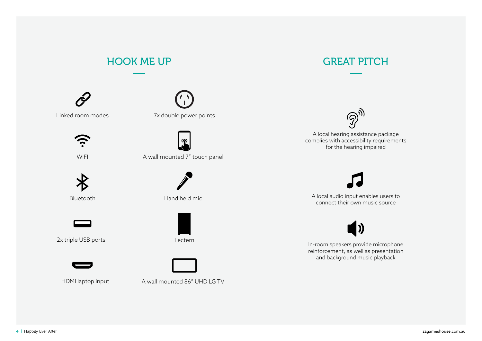

Linked room modes



WIFI



Bluetooth



2x triple USB ports





A wall mounted 7" touch panel



Hand held mic



Lectern

#### HDMI laptop input

A wall mounted 86" UHD LG TV





A local hearing assistance package complies with accessibility requirements for the hearing impaired

A local audio input enables users to connect their own music source



In-room speakers provide microphone reinforcement, as well as presentation and background music playback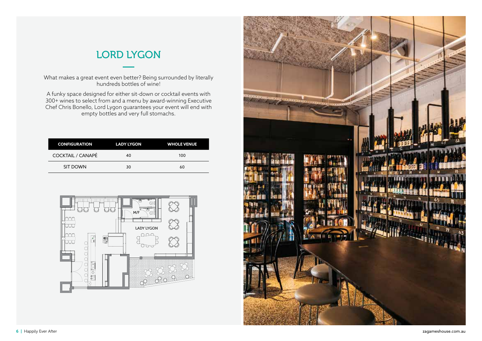### LORD LYGON

What makes a great event even better? Being surrounded by literally hundreds bottles of wine!

A funky space designed for either sit-down or cocktail events with 300+ wines to select from and a menu by award-winning Executive Chef Chris Bonello, Lord Lygon guarantees your event will end with empty bottles and very full stomachs.

| <b>CONFIGURATION</b>     | <b>LADY LYGON</b> | <b>WHOLE VENUE</b> |
|--------------------------|-------------------|--------------------|
| <b>COCKTAIL / CANAPÉ</b> | 40                | 100                |
| <b>SIT DOWN</b>          | 30                | 60                 |



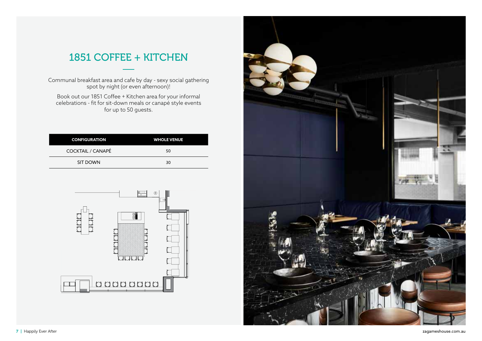### 1851 COFFEE + KITCHEN

Communal breakfast area and cafe by day - sexy social gathering spot by night (or even afternoon)!

Book out our 1851 Coffee + Kitchen area for your informal celebrations - fit for sit-down meals or canapé style events for up to 50 guests.

| <b>CONFIGURATION</b>     | <b>WHOLE VENUE</b> |
|--------------------------|--------------------|
| <b>COCKTAIL / CANAPÉ</b> | 50                 |
| <b>SIT DOWN</b>          | 30                 |



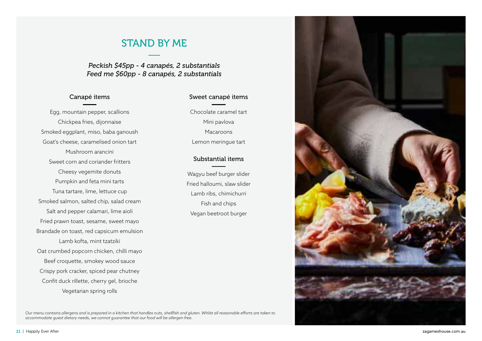### STAND BY ME

*Peckish \$45pp - 4 canapés, 2 substantials Feed me \$60pp - 8 canapés, 2 substantials*

#### Canapé items

Egg, mountain pepper, scallions Chickpea fries, dijonnaise Smoked eggplant, miso, baba ganoush Goat's cheese, caramelised onion tart Mushroom arancini Sweet corn and coriander fritters Cheesy vegemite donuts Pumpkin and feta mini tarts Tuna tartare, lime, lettuce cup Smoked salmon, salted chip, salad cream Salt and pepper calamari, lime aioli Fried prawn toast, sesame, sweet mayo Brandade on toast, red capsicum emulsion Lamb kofta, mint tzatziki Oat crumbed popcorn chicken, chilli mayo Beef croquette, smokey wood sauce Crispy pork cracker, spiced pear chutney Confit duck rillette, cherry gel, brioche Vegetarian spring rolls

#### Sweet canapé items

Chocolate caramel tart Mini pavlova Macaroons Lemon meringue tart

#### Substantial items

Wagyu beef burger slider Fried halloumi, slaw slider Lamb ribs, chimichurri Fish and chips Vegan beetroot burger

*Our menu contains allergens and is prepared in a kitchen that handles nuts, shellfish and gluten. Whilst all reasonable efforts are taken to accommodate guest dietary needs, we cannot guarantee that our food will be allergen free.*

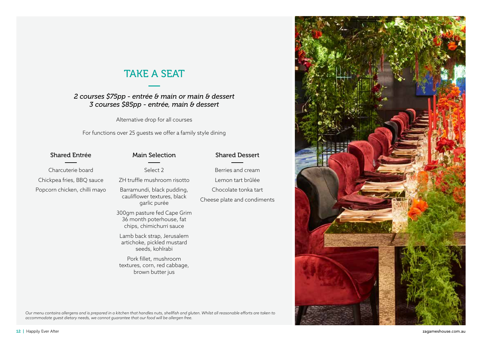### TAKE A SEAT

### *2 courses \$75pp - entrée & main or main & dessert 3 courses \$85pp - entrée, main & dessert*

Alternative drop for all courses

For functions over 25 guests we offer a family style dining

| <b>Shared Entrée</b>         | <b>Main Selection</b>                                                               | <b>Shared Dessert</b>       |
|------------------------------|-------------------------------------------------------------------------------------|-----------------------------|
| Charcuterie board            | Select 2                                                                            | Berries and cream           |
| Chickpea fries, BBQ sauce    | ZH truffle mushroom risotto                                                         | Lemon tart brûlée           |
| Popcorn chicken, chilli mayo | Barramundi, black pudding,<br>cauliflower textures, black<br>garlic purée           | Chocolate tonka tart        |
|                              |                                                                                     | Cheese plate and condiments |
|                              | 300gm pasture fed Cape Grim<br>36 month poterhouse, fat<br>chips, chimichurri sauce |                             |
|                              | Lamb back strap, Jerusalem<br>artichoke, pickled mustard<br>seeds, kohlrabi         |                             |
|                              | Pork fillet, mushroom<br>textures, corn, red cabbage,<br>brown butter jus           |                             |
|                              |                                                                                     |                             |
|                              |                                                                                     |                             |

*Our menu contains allergens and is prepared in a kitchen that handles nuts, shellfish and gluten. Whilst all reasonable efforts are taken to accommodate guest dietary needs, we cannot guarantee that our food will be allergen free.*

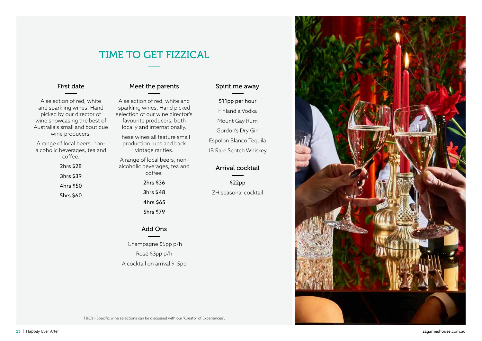### TIME TO GET FIZZICAL

#### First date

A selection of red, white and sparkling wines. Hand picked by our director of wine showcasing the best of Australia's small and boutique wine producers.

A range of local beers, nonalcoholic beverages, tea and coffee.

> 2hrs \$28 3hrs \$39 4hrs \$50 5hrs \$60

### Meet the parents

A selection of red, white and sparkling wines. Hand picked selection of our wine director's favourite producers, both locally and internationally.

These wines all feature small production runs and back vintage rarities.

A range of local beers, nonalcoholic beverages, tea and coffee.

> 2hrs \$36 3hrs \$48

4hrs \$65 5hrs \$79

#### Add Ons

 Champagne \$5pp p/h Rosé \$3pp p/h A cocktail on arrival \$15pp

#### Spirit me away

\$11pp per hour Finlandia Vodka Mount Gay Rum Gordon's Dry Gin Espolon Blanco Tequila

JB Rare Scotch Whiskey

#### Arrival cocktail

\$22pp ZH seasonal cocktail

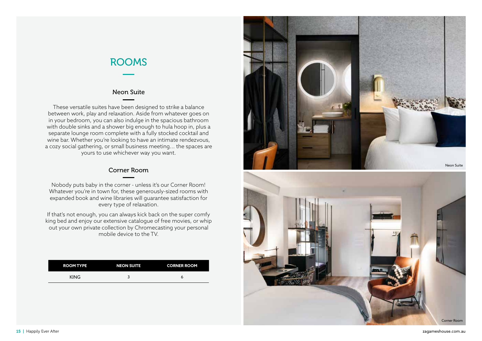### ROOMS

#### Neon Suite

These versatile suites have been designed to strike a balance between work, play and relaxation. Aside from whatever goes on in your bedroom, you can also indulge in the spacious bathroom with double sinks and a shower big enough to hula hoop in, plus a separate lounge room complete with a fully stocked cocktail and wine bar. Whether you're looking to have an intimate rendezvous, a cozy social gathering, or small business meeting... the spaces are yours to use whichever way you want.

#### Corner Room

Nobody puts baby in the corner - unless it's our Corner Room! Whatever you're in town for, these generously-sized rooms with expanded book and wine libraries will guarantee satisfaction for every type of relaxation.

If that's not enough, you can always kick back on the super comfy king bed and enjoy our extensive catalogue of free movies, or whip out your own private collection by Chromecasting your personal mobile device to the TV.

| <b>ROOM TYPE</b> | <b>NEON SUITE</b> | <b>CORNER ROOM</b> |
|------------------|-------------------|--------------------|
| <b>KING</b>      |                   |                    |



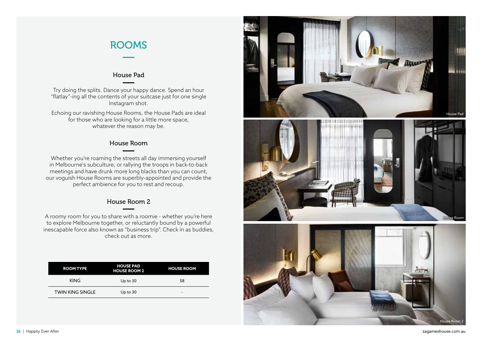### ROOMS

#### House Pad

Try doing the splits. Dance your happy dance. Spend an hour "flatlay"-ing all the contents of your suitcase just for one single Instagram shot.

Echoing our ravishing House Rooms, the House Pads are ideal for those who are looking for a little more space, whatever the reason may be.

#### House Room

Whether you're roaming the streets all day immersing yourself in Melbourne's subculture, or rallying the troops in back-to-back meetings and have drunk more long blacks than you can count, our voguish House Rooms are superbly-appointed and provide the perfect ambience for you to rest and recoup.

#### House Room 2

A roomy room for you to share with a roomie - whether you're here to explore Melbourne together, or reluctantly bound by a powerful inescapable force also known as "business trip". Check in as buddies, check out as more.

| <b>ROOM TYPE</b>        | <b>HOUSE PAD</b><br><b>HOUSE ROOM 2</b> | <b>HOUSE ROOM</b> |
|-------------------------|-----------------------------------------|-------------------|
| <b>KING</b>             | Up to 30                                | 58                |
| <b>TWIN KING SINGLE</b> | Up to 30                                | -                 |





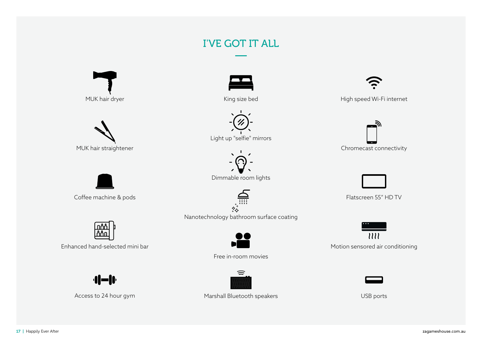## I'VE GOT IT ALL



MUK hair dryer



King size bed



Light up "selfie" mirrors



Dimmable room lights



Nanotechnology bathroom surface coating



Free in-room movies



High speed Wi-Fi internet





Flatscreen 55" HD TV

 $\overline{\mathcal{U}}\mathcal{U}$ Motion sensored air conditioning



MUK hair straightener

Coffee machine & pods



Enhanced hand-selected mini bar

 $\blacksquare$ 

Access to 24 hour gym



#### Marshall Bluetooth speakers

17 | Happily Ever After zagameshouse.com.au